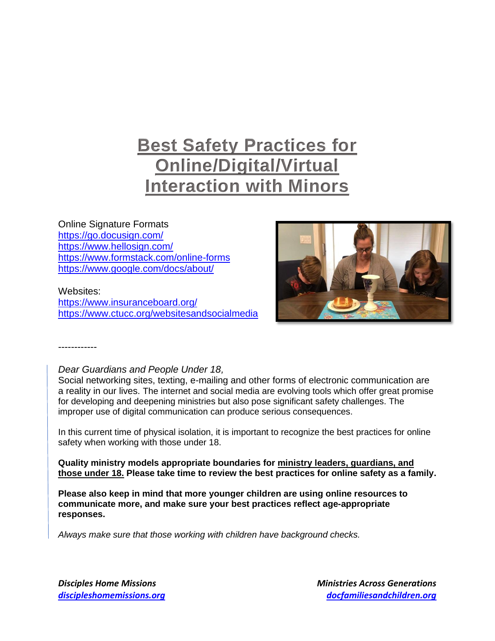# **Best Safety Practices for Online/Digital/Virtual Interaction with Minors**

# Online Signature Formats

<https://go.docusign.com/> <https://www.hellosign.com/> <https://www.formstack.com/online-forms> <https://www.google.com/docs/about/>

#### Websites:

------------

<https://www.insuranceboard.org/> <https://www.ctucc.org/websitesandsocialmedia>



#### *Dear Guardians and People Under 18,*

Social networking sites, texting, e-mailing and other forms of electronic communication are a reality in our lives. The internet and social media are evolving tools which offer great promise for developing and deepening ministries but also pose significant safety challenges. The improper use of digital communication can produce serious consequences.

In this current time of physical isolation, it is important to recognize the best practices for online safety when working with those under 18.

**Quality ministry models appropriate boundaries for ministry leaders, guardians, and those under 18. Please take time to review the best practices for online safety as a family.**

**Please also keep in mind that more younger children are using online resources to communicate more, and make sure your best practices reflect age-appropriate responses.**

*Always make sure that those working with children have background checks.*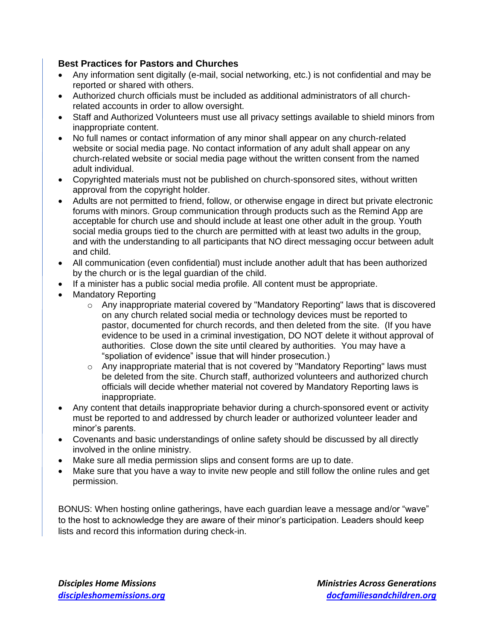#### **Best Practices for Pastors and Churches**

- Any information sent digitally (e-mail, social networking, etc.) is not confidential and may be reported or shared with others.
- Authorized church officials must be included as additional administrators of all churchrelated accounts in order to allow oversight.
- Staff and Authorized Volunteers must use all privacy settings available to shield minors from inappropriate content.
- No full names or contact information of any minor shall appear on any church-related website or social media page. No contact information of any adult shall appear on any church-related website or social media page without the written consent from the named adult individual.
- Copyrighted materials must not be published on church-sponsored sites, without written approval from the copyright holder.
- Adults are not permitted to friend, follow, or otherwise engage in direct but private electronic forums with minors. Group communication through products such as the Remind App are acceptable for church use and should include at least one other adult in the group. Youth social media groups tied to the church are permitted with at least two adults in the group, and with the understanding to all participants that NO direct messaging occur between adult and child.
- All communication (even confidential) must include another adult that has been authorized by the church or is the legal guardian of the child.
- If a minister has a public social media profile. All content must be appropriate.
- Mandatory Reporting
	- $\circ$  Any inappropriate material covered by "Mandatory Reporting" laws that is discovered on any church related social media or technology devices must be reported to pastor, documented for church records, and then deleted from the site. (If you have evidence to be used in a criminal investigation, DO NOT delete it without approval of authorities. Close down the site until cleared by authorities. You may have a "spoliation of evidence" issue that will hinder prosecution.)
	- o Any inappropriate material that is not covered by "Mandatory Reporting" laws must be deleted from the site. Church staff, authorized volunteers and authorized church officials will decide whether material not covered by Mandatory Reporting laws is inappropriate.
- Any content that details inappropriate behavior during a church-sponsored event or activity must be reported to and addressed by church leader or authorized volunteer leader and minor's parents.
- Covenants and basic understandings of online safety should be discussed by all directly involved in the online ministry.
- Make sure all media permission slips and consent forms are up to date.
- Make sure that you have a way to invite new people and still follow the online rules and get permission.

BONUS: When hosting online gatherings, have each guardian leave a message and/or "wave" to the host to acknowledge they are aware of their minor's participation. Leaders should keep lists and record this information during check-in.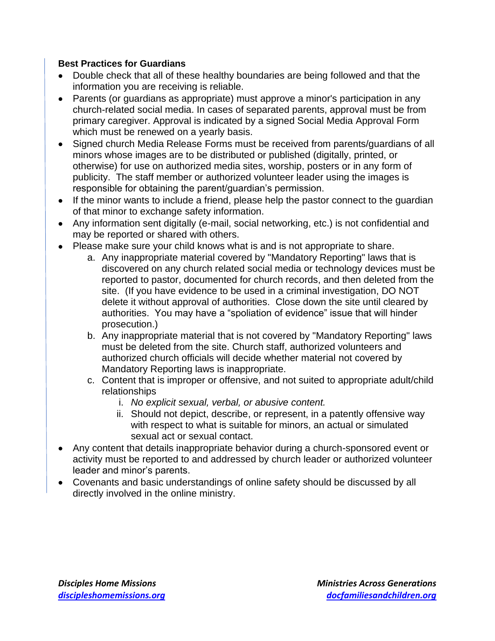### **Best Practices for Guardians**

- Double check that all of these healthy boundaries are being followed and that the information you are receiving is reliable.
- Parents (or guardians as appropriate) must approve a minor's participation in any church-related social media. In cases of separated parents, approval must be from primary caregiver. Approval is indicated by a signed Social Media Approval Form which must be renewed on a yearly basis.
- Signed church Media Release Forms must be received from parents/guardians of all minors whose images are to be distributed or published (digitally, printed, or otherwise) for use on authorized media sites, worship, posters or in any form of publicity. The staff member or authorized volunteer leader using the images is responsible for obtaining the parent/guardian's permission.
- If the minor wants to include a friend, please help the pastor connect to the guardian of that minor to exchange safety information.
- Any information sent digitally (e-mail, social networking, etc.) is not confidential and may be reported or shared with others.
- Please make sure your child knows what is and is not appropriate to share.
	- a. Any inappropriate material covered by "Mandatory Reporting" laws that is discovered on any church related social media or technology devices must be reported to pastor, documented for church records, and then deleted from the site. (If you have evidence to be used in a criminal investigation, DO NOT delete it without approval of authorities. Close down the site until cleared by authorities. You may have a "spoliation of evidence" issue that will hinder prosecution.)
	- b. Any inappropriate material that is not covered by "Mandatory Reporting" laws must be deleted from the site. Church staff, authorized volunteers and authorized church officials will decide whether material not covered by Mandatory Reporting laws is inappropriate.
	- c. Content that is improper or offensive, and not suited to appropriate adult/child relationships
		- i. *No explicit sexual, verbal, or abusive content.*
		- ii. Should not depict, describe, or represent, in a patently offensive way with respect to what is suitable for minors, an actual or simulated sexual act or sexual contact.
- Any content that details inappropriate behavior during a church-sponsored event or activity must be reported to and addressed by church leader or authorized volunteer leader and minor's parents.
- Covenants and basic understandings of online safety should be discussed by all directly involved in the online ministry.